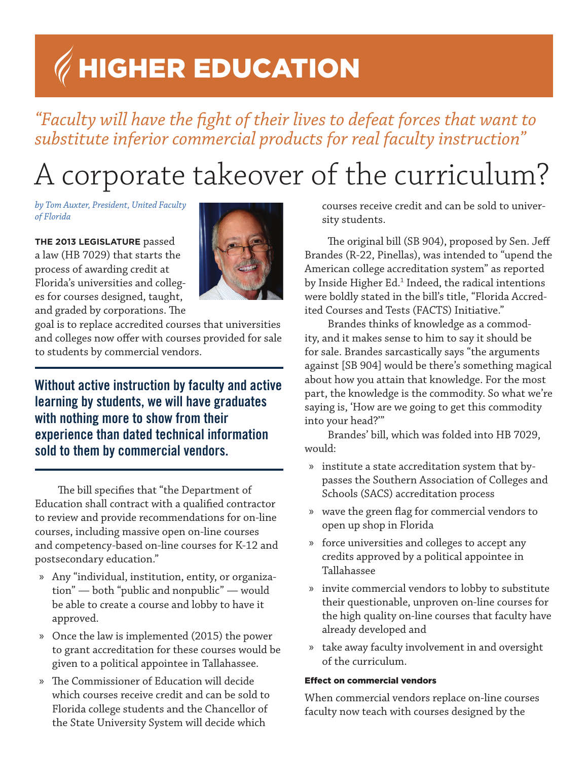# Higher Education

### *"Faculty will have the fight of their lives to defeat forces that want to substitute inferior commercial products for real faculty instruction"*

## A corporate takeover of the curriculum?

*by Tom Auxter, President, United Faculty of Florida*

#### **The 2013 Legislature** passed

a law (HB 7029) that starts the process of awarding credit at Florida's universities and colleges for courses designed, taught, and graded by corporations. The



goal is to replace accredited courses that universities and colleges now offer with courses provided for sale to students by commercial vendors.

Without active instruction by faculty and active learning by students, we will have graduates with nothing more to show from their experience than dated technical information sold to them by commercial vendors.

The bill specifies that "the Department of Education shall contract with a qualified contractor to review and provide recommendations for on-line courses, including massive open on-line courses and competency-based on-line courses for K-12 and postsecondary education."

- » Any "individual, institution, entity, or organization" — both "public and nonpublic" — would be able to create a course and lobby to have it approved.
- » Once the law is implemented (2015) the power to grant accreditation for these courses would be given to a political appointee in Tallahassee.
- » The Commissioner of Education will decide which courses receive credit and can be sold to Florida college students and the Chancellor of the State University System will decide which

courses receive credit and can be sold to university students.

The original bill (SB 904), proposed by Sen. Jeff Brandes (R-22, Pinellas), was intended to "upend the American college accreditation system" as reported by Inside Higher Ed.<sup>1</sup> Indeed, the radical intentions were boldly stated in the bill's title, "Florida Accredited Courses and Tests (FACTS) Initiative."

Brandes thinks of knowledge as a commodity, and it makes sense to him to say it should be for sale. Brandes sarcastically says "the arguments against [SB 904] would be there's something magical about how you attain that knowledge. For the most part, the knowledge is the commodity. So what we're saying is, 'How are we going to get this commodity into your head?'"

Brandes' bill, which was folded into HB 7029, would:

- » institute a state accreditation system that bypasses the Southern Association of Colleges and Schools (SACS) accreditation process
- » wave the green flag for commercial vendors to open up shop in Florida
- » force universities and colleges to accept any credits approved by a political appointee in Tallahassee
- » invite commercial vendors to lobby to substitute their questionable, unproven on-line courses for the high quality on-line courses that faculty have already developed and
- » take away faculty involvement in and oversight of the curriculum.

#### Effect on commercial vendors

When commercial vendors replace on-line courses faculty now teach with courses designed by the